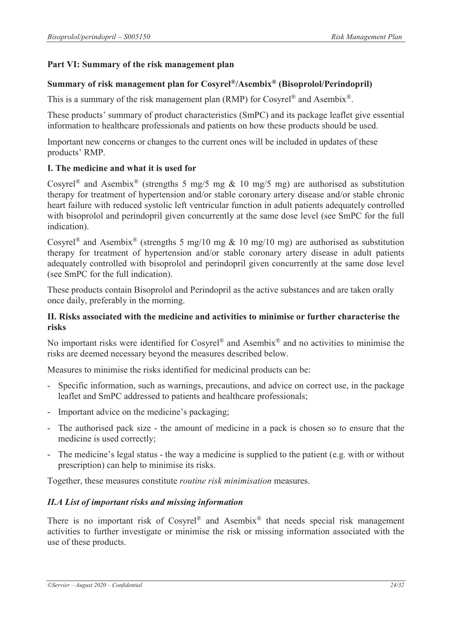# **Part VI: Summary of the risk management plan**

## **Summary of risk management plan for Cosyrel®/Asembix® (Bisoprolol/Perindopril)**

This is a summary of the risk management plan (RMP) for Cosyrel<sup>®</sup> and Asembix<sup>®</sup>.

These products' summary of product characteristics (SmPC) and its package leaflet give essential information to healthcare professionals and patients on how these products should be used.

Important new concerns or changes to the current ones will be included in updates of these products' RMP.

## **I. The medicine and what it is used for**

Cosyrel<sup>®</sup> and Asembix<sup>®</sup> (strengths 5 mg/5 mg & 10 mg/5 mg) are authorised as substitution therapy for treatment of hypertension and/or stable coronary artery disease and/or stable chronic heart failure with reduced systolic left ventricular function in adult patients adequately controlled with bisoprolol and perindopril given concurrently at the same dose level (see SmPC for the full indication).

Cosyrel<sup>®</sup> and Asembix<sup>®</sup> (strengths 5 mg/10 mg & 10 mg/10 mg) are authorised as substitution therapy for treatment of hypertension and/or stable coronary artery disease in adult patients adequately controlled with bisoprolol and perindopril given concurrently at the same dose level (see SmPC for the full indication).

These products contain Bisoprolol and Perindopril as the active substances and are taken orally once daily, preferably in the morning.

### **II. Risks associated with the medicine and activities to minimise or further characterise the risks**

No important risks were identified for Cosyrel<sup>®</sup> and Asembix<sup>®</sup> and no activities to minimise the risks are deemed necessary beyond the measures described below.

Measures to minimise the risks identified for medicinal products can be:

- Specific information, such as warnings, precautions, and advice on correct use, in the package leaflet and SmPC addressed to patients and healthcare professionals;
- Important advice on the medicine's packaging;
- The authorised pack size the amount of medicine in a pack is chosen so to ensure that the medicine is used correctly;
- The medicine's legal status the way a medicine is supplied to the patient (e.g. with or without prescription) can help to minimise its risks.

Together, these measures constitute *routine risk minimisation* measures.

## *II.A List of important risks and missing information*

There is no important risk of  $Cosyrel^{\otimes}$  and  $Asembix^{\otimes}$  that needs special risk management activities to further investigate or minimise the risk or missing information associated with the use of these products.